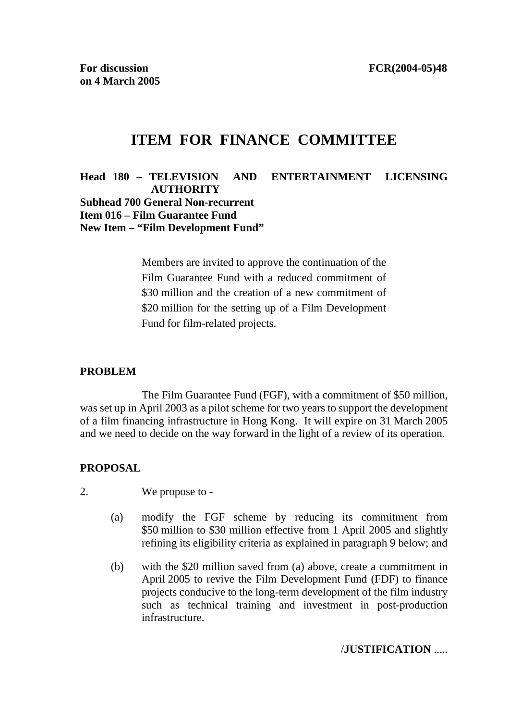# **ITEM FOR FINANCE COMMITTEE**

**Head 180 – TELEVISION AND ENTERTAINMENT LICENSING AUTHORITY Subhead 700 General Non-recurrent Item 016 – Film Guarantee Fund New Item – "Film Development Fund"** 

> Members are invited to approve the continuation of the Film Guarantee Fund with a reduced commitment of \$30 million and the creation of a new commitment of \$20 million for the setting up of a Film Development Fund for film-related projects.

#### **PROBLEM**

 The Film Guarantee Fund (FGF), with a commitment of \$50 million, was set up in April 2003 as a pilot scheme for two years to support the development of a film financing infrastructure in Hong Kong. It will expire on 31 March 2005 and we need to decide on the way forward in the light of a review of its operation.

#### **PROPOSAL**

2. We propose to -

- (a) modify the FGF scheme by reducing its commitment from \$50 million to \$30 million effective from 1 April 2005 and slightly refining its eligibility criteria as explained in paragraph 9 below; and
- (b) with the \$20 million saved from (a) above, create a commitment in April 2005 to revive the Film Development Fund (FDF) to finance projects conducive to the long-term development of the film industry such as technical training and investment in post-production infrastructure.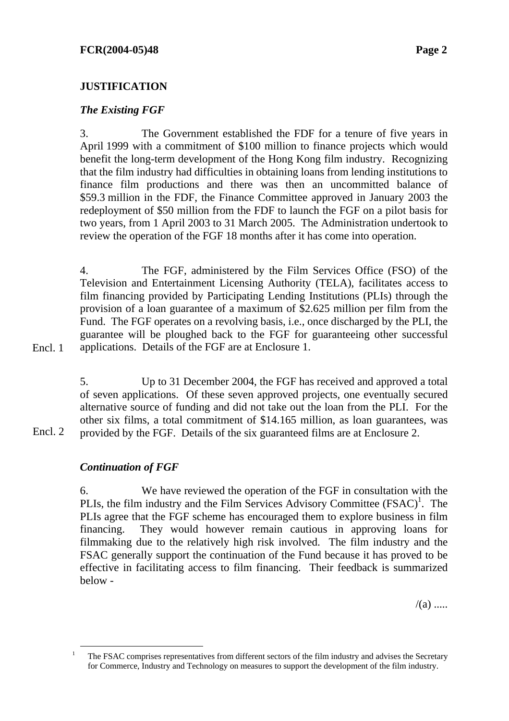### *The Existing FGF*

3. The Government established the FDF for a tenure of five years in April 1999 with a commitment of \$100 million to finance projects which would benefit the long-term development of the Hong Kong film industry. Recognizing that the film industry had difficulties in obtaining loans from lending institutions to finance film productions and there was then an uncommitted balance of \$59.3 million in the FDF, the Finance Committee approved in January 2003 the redeployment of \$50 million from the FDF to launch the FGF on a pilot basis for two years, from 1 April 2003 to 31 March 2005. The Administration undertook to review the operation of the FGF 18 months after it has come into operation.

4. The FGF, administered by the Film Services Office (FSO) of the Television and Entertainment Licensing Authority (TELA), facilitates access to film financing provided by Participating Lending Institutions (PLIs) through the provision of a loan guarantee of a maximum of \$2.625 million per film from the Fund. The FGF operates on a revolving basis, i.e., once discharged by the PLI, the guarantee will be ploughed back to the FGF for guaranteeing other successful applications. Details of the FGF are at Enclosure 1.

Encl. 1

Encl. 2

5. Up to 31 December 2004, the FGF has received and approved a total of seven applications. Of these seven approved projects, one eventually secured alternative source of funding and did not take out the loan from the PLI. For the other six films, a total commitment of \$14.165 million, as loan guarantees, was provided by the FGF. Details of the six guaranteed films are at Enclosure 2.

### *Continuation of FGF*

6. We have reviewed the operation of the FGF in consultation with the PLIs, the film industry and the Film Services Advisory Committee  $(FSAC)^{1}$ . The PLIs agree that the FGF scheme has encouraged them to explore business in film financing. They would however remain cautious in approving loans for filmmaking due to the relatively high risk involved. The film industry and the FSAC generally support the continuation of the Fund because it has proved to be effective in facilitating access to film financing. Their feedback is summarized below -

 $/(a)$  .....

 $\frac{1}{1}$  The FSAC comprises representatives from different sectors of the film industry and advises the Secretary for Commerce, Industry and Technology on measures to support the development of the film industry.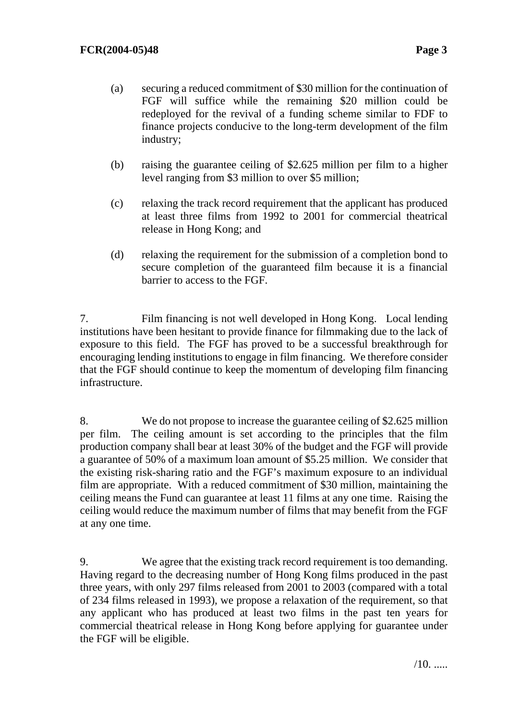- (a) securing a reduced commitment of \$30 million for the continuation of FGF will suffice while the remaining \$20 million could be redeployed for the revival of a funding scheme similar to FDF to finance projects conducive to the long-term development of the film industry;
- (b) raising the guarantee ceiling of \$2.625 million per film to a higher level ranging from \$3 million to over \$5 million;
- (c) relaxing the track record requirement that the applicant has produced at least three films from 1992 to 2001 for commercial theatrical release in Hong Kong; and
- (d) relaxing the requirement for the submission of a completion bond to secure completion of the guaranteed film because it is a financial barrier to access to the FGF.

7. Film financing is not well developed in Hong Kong. Local lending institutions have been hesitant to provide finance for filmmaking due to the lack of exposure to this field. The FGF has proved to be a successful breakthrough for encouraging lending institutions to engage in film financing. We therefore consider that the FGF should continue to keep the momentum of developing film financing infrastructure.

8. We do not propose to increase the guarantee ceiling of \$2.625 million per film. The ceiling amount is set according to the principles that the film production company shall bear at least 30% of the budget and the FGF will provide a guarantee of 50% of a maximum loan amount of \$5.25 million. We consider that the existing risk-sharing ratio and the FGF's maximum exposure to an individual film are appropriate. With a reduced commitment of \$30 million, maintaining the ceiling means the Fund can guarantee at least 11 films at any one time. Raising the ceiling would reduce the maximum number of films that may benefit from the FGF at any one time.

9. We agree that the existing track record requirement is too demanding. Having regard to the decreasing number of Hong Kong films produced in the past three years, with only 297 films released from 2001 to 2003 (compared with a total of 234 films released in 1993), we propose a relaxation of the requirement, so that any applicant who has produced at least two films in the past ten years for commercial theatrical release in Hong Kong before applying for guarantee under the FGF will be eligible.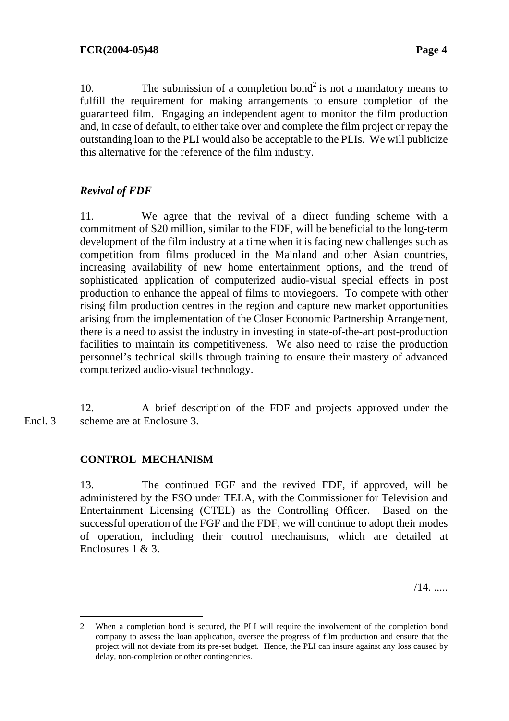10. The submission of a completion bond<sup>2</sup> is not a mandatory means to fulfill the requirement for making arrangements to ensure completion of the guaranteed film. Engaging an independent agent to monitor the film production and, in case of default, to either take over and complete the film project or repay the outstanding loan to the PLI would also be acceptable to the PLIs. We will publicize this alternative for the reference of the film industry.

### *Revival of FDF*

11. We agree that the revival of a direct funding scheme with a commitment of \$20 million, similar to the FDF, will be beneficial to the long-term development of the film industry at a time when it is facing new challenges such as competition from films produced in the Mainland and other Asian countries, increasing availability of new home entertainment options, and the trend of sophisticated application of computerized audio-visual special effects in post production to enhance the appeal of films to moviegoers. To compete with other rising film production centres in the region and capture new market opportunities arising from the implementation of the Closer Economic Partnership Arrangement, there is a need to assist the industry in investing in state-of-the-art post-production facilities to maintain its competitiveness. We also need to raise the production personnel's technical skills through training to ensure their mastery of advanced computerized audio-visual technology.

12. A brief description of the FDF and projects approved under the scheme are at Enclosure 3. Encl. 3

#### **CONTROL MECHANISM**

13. The continued FGF and the revived FDF, if approved, will be administered by the FSO under TELA, with the Commissioner for Television and Entertainment Licensing (CTEL) as the Controlling Officer. Based on the successful operation of the FGF and the FDF, we will continue to adopt their modes of operation, including their control mechanisms, which are detailed at Enclosures 1 & 3.

/14. .....

 2 When a completion bond is secured, the PLI will require the involvement of the completion bond company to assess the loan application, oversee the progress of film production and ensure that the project will not deviate from its pre-set budget. Hence, the PLI can insure against any loss caused by delay, non-completion or other contingencies.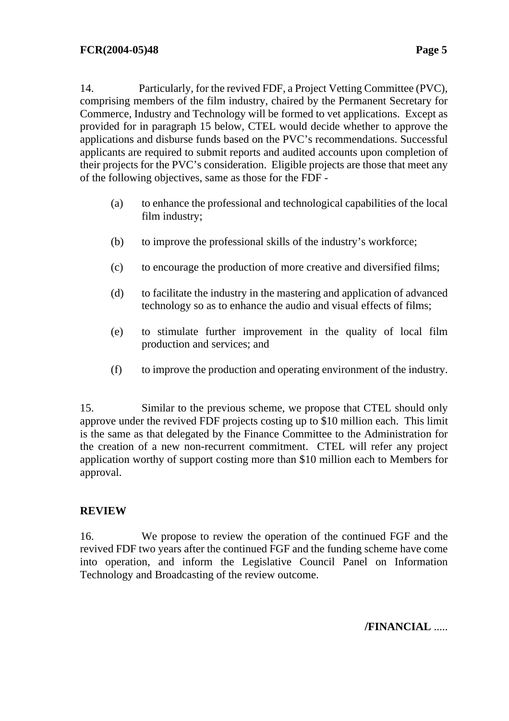14. Particularly, for the revived FDF, a Project Vetting Committee (PVC), comprising members of the film industry, chaired by the Permanent Secretary for Commerce, Industry and Technology will be formed to vet applications. Except as provided for in paragraph 15 below, CTEL would decide whether to approve the applications and disburse funds based on the PVC's recommendations. Successful applicants are required to submit reports and audited accounts upon completion of

- (a) to enhance the professional and technological capabilities of the local film industry;
- (b) to improve the professional skills of the industry's workforce;

their projects for the PVC's consideration. Eligible projects are those that meet any

of the following objectives, same as those for the FDF -

- (c) to encourage the production of more creative and diversified films;
- (d) to facilitate the industry in the mastering and application of advanced technology so as to enhance the audio and visual effects of films;
- (e) to stimulate further improvement in the quality of local film production and services; and
- (f) to improve the production and operating environment of the industry.

15. Similar to the previous scheme, we propose that CTEL should only approve under the revived FDF projects costing up to \$10 million each. This limit is the same as that delegated by the Finance Committee to the Administration for the creation of a new non-recurrent commitment. CTEL will refer any project application worthy of support costing more than \$10 million each to Members for approval.

### **REVIEW**

16. We propose to review the operation of the continued FGF and the revived FDF two years after the continued FGF and the funding scheme have come into operation, and inform the Legislative Council Panel on Information Technology and Broadcasting of the review outcome.

**/FINANCIAL** .....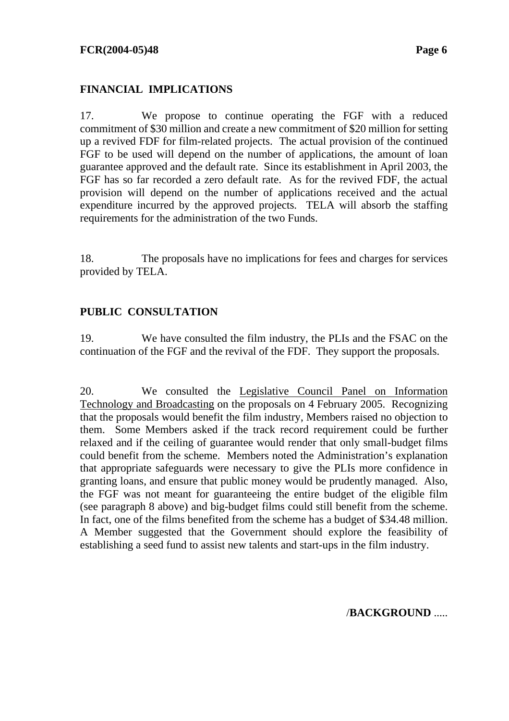#### **FINANCIAL IMPLICATIONS**

17. We propose to continue operating the FGF with a reduced commitment of \$30 million and create a new commitment of \$20 million for setting up a revived FDF for film-related projects. The actual provision of the continued FGF to be used will depend on the number of applications, the amount of loan guarantee approved and the default rate. Since its establishment in April 2003, the FGF has so far recorded a zero default rate. As for the revived FDF, the actual provision will depend on the number of applications received and the actual expenditure incurred by the approved projects. TELA will absorb the staffing requirements for the administration of the two Funds.

18. The proposals have no implications for fees and charges for services provided by TELA.

### **PUBLIC CONSULTATION**

19. We have consulted the film industry, the PLIs and the FSAC on the continuation of the FGF and the revival of the FDF. They support the proposals.

20. We consulted the [Legislative Council Panel on Information](http://www.legco.gov.hk/yr04-05/english/panels/itb/general/itb0405.htm)  [Technology and Broadcasting](http://www.legco.gov.hk/yr04-05/english/panels/itb/general/itb0405.htm) on the proposals on 4 February 2005. Recognizing that the proposals would benefit the film industry, Members raised no objection to them. Some Members asked if the track record requirement could be further relaxed and if the ceiling of guarantee would render that only small-budget films could benefit from the scheme. Members noted the Administration's explanation that appropriate safeguards were necessary to give the PLIs more confidence in granting loans, and ensure that public money would be prudently managed. Also, the FGF was not meant for guaranteeing the entire budget of the eligible film (see paragraph 8 above) and big-budget films could still benefit from the scheme. In fact, one of the films benefited from the scheme has a budget of \$34.48 million. A Member suggested that the Government should explore the feasibility of establishing a seed fund to assist new talents and start-ups in the film industry.

/**BACKGROUND** .....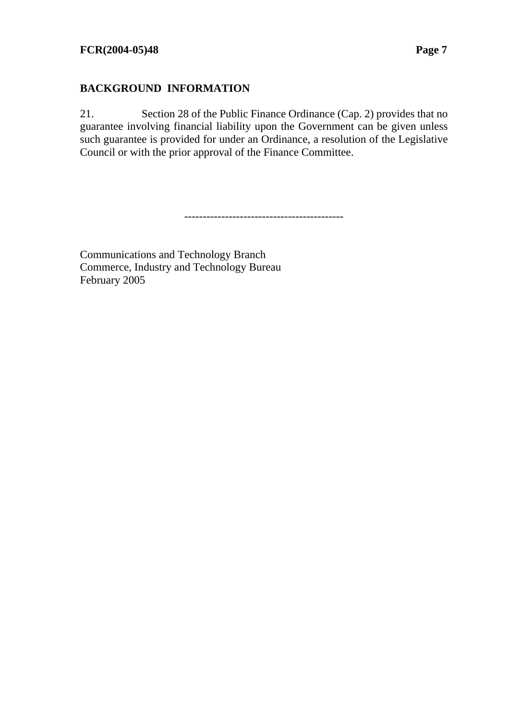### **BACKGROUND INFORMATION**

21. Section 28 of the Public Finance Ordinance (Cap. 2) provides that no guarantee involving financial liability upon the Government can be given unless such guarantee is provided for under an Ordinance, a resolution of the Legislative Council or with the prior approval of the Finance Committee.

-------------------------------------------

Communications and Technology Branch Commerce, Industry and Technology Bureau February 2005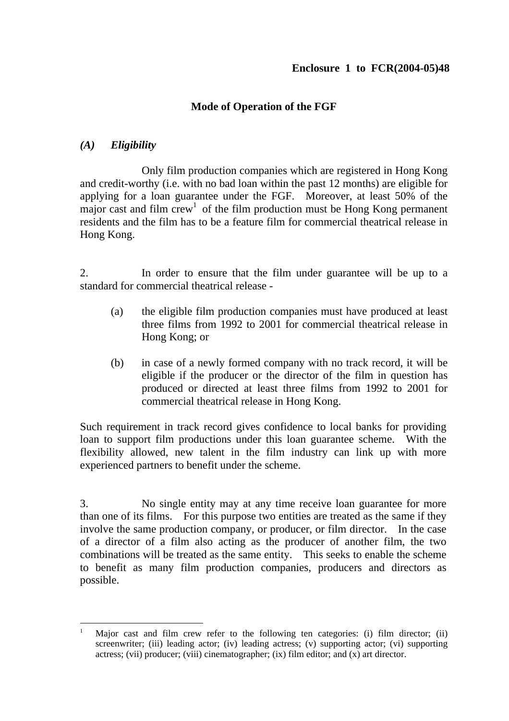### **Mode of Operation of the FGF**

### *(A) Eligibility*

 Only film production companies which are registered in Hong Kong and credit-worthy (i.e. with no bad loan within the past 12 months) are eligible for applying for a loan guarantee under the FGF. Moreover, at least 50% of the major cast and film  $crew<sup>1</sup>$  of the film production must be Hong Kong permanent residents and the film has to be a feature film for commercial theatrical release in Hong Kong.

2. In order to ensure that the film under guarantee will be up to a standard for commercial theatrical release -

- (a) the eligible film production companies must have produced at least three films from 1992 to 2001 for commercial theatrical release in Hong Kong; or
- (b) in case of a newly formed company with no track record, it will be eligible if the producer or the director of the film in question has produced or directed at least three films from 1992 to 2001 for commercial theatrical release in Hong Kong.

Such requirement in track record gives confidence to local banks for providing loan to support film productions under this loan guarantee scheme. With the flexibility allowed, new talent in the film industry can link up with more experienced partners to benefit under the scheme.

3. No single entity may at any time receive loan guarantee for more than one of its films. For this purpose two entities are treated as the same if they involve the same production company, or producer, or film director. In the case of a director of a film also acting as the producer of another film, the two combinations will be treated as the same entity. This seeks to enable the scheme to benefit as many film production companies, producers and directors as possible.

 1 Major cast and film crew refer to the following ten categories: (i) film director; (ii) screenwriter; (iii) leading actor; (iv) leading actress; (v) supporting actor; (vi) supporting actress; (vii) producer; (viii) cinematographer; (ix) film editor; and (x) art director.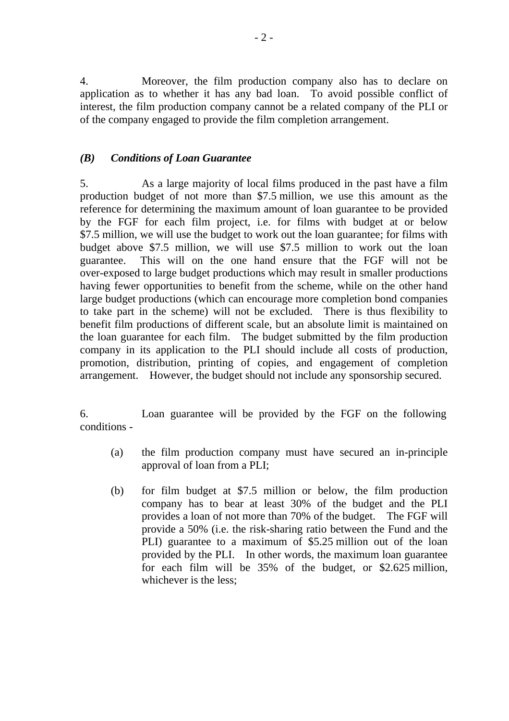4. Moreover, the film production company also has to declare on application as to whether it has any bad loan. To avoid possible conflict of interest, the film production company cannot be a related company of the PLI or of the company engaged to provide the film completion arrangement.

#### *(B) Conditions of Loan Guarantee*

5. As a large majority of local films produced in the past have a film production budget of not more than \$7.5 million, we use this amount as the reference for determining the maximum amount of loan guarantee to be provided by the FGF for each film project, i.e. for films with budget at or below \$7.5 million, we will use the budget to work out the loan guarantee; for films with budget above \$7.5 million, we will use \$7.5 million to work out the loan guarantee. This will on the one hand ensure that the FGF will not be over-exposed to large budget productions which may result in smaller productions having fewer opportunities to benefit from the scheme, while on the other hand large budget productions (which can encourage more completion bond companies to take part in the scheme) will not be excluded. There is thus flexibility to benefit film productions of different scale, but an absolute limit is maintained on the loan guarantee for each film. The budget submitted by the film production company in its application to the PLI should include all costs of production, promotion, distribution, printing of copies, and engagement of completion arrangement. However, the budget should not include any sponsorship secured.

6. Loan guarantee will be provided by the FGF on the following conditions -

- (a) the film production company must have secured an in-principle approval of loan from a PLI;
- (b) for film budget at \$7.5 million or below, the film production company has to bear at least 30% of the budget and the PLI provides a loan of not more than 70% of the budget. The FGF will provide a 50% (i.e. the risk-sharing ratio between the Fund and the PLI) guarantee to a maximum of \$5.25 million out of the loan provided by the PLI. In other words, the maximum loan guarantee for each film will be 35% of the budget, or \$2.625 million, whichever is the less;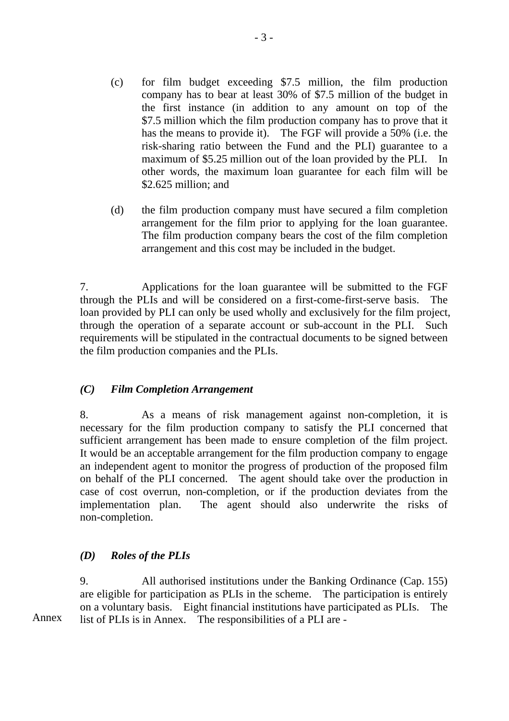- (c) for film budget exceeding \$7.5 million, the film production company has to bear at least 30% of \$7.5 million of the budget in the first instance (in addition to any amount on top of the \$7.5 million which the film production company has to prove that it has the means to provide it). The FGF will provide a 50% (i.e. the risk-sharing ratio between the Fund and the PLI) guarantee to a maximum of \$5.25 million out of the loan provided by the PLI. In other words, the maximum loan guarantee for each film will be \$2.625 million; and
- (d) the film production company must have secured a film completion arrangement for the film prior to applying for the loan guarantee. The film production company bears the cost of the film completion arrangement and this cost may be included in the budget.

7. Applications for the loan guarantee will be submitted to the FGF through the PLIs and will be considered on a first-come-first-serve basis. The loan provided by PLI can only be used wholly and exclusively for the film project, through the operation of a separate account or sub-account in the PLI. Such requirements will be stipulated in the contractual documents to be signed between the film production companies and the PLIs.

#### *(C) Film Completion Arrangement*

8. As a means of risk management against non-completion, it is necessary for the film production company to satisfy the PLI concerned that sufficient arrangement has been made to ensure completion of the film project. It would be an acceptable arrangement for the film production company to engage an independent agent to monitor the progress of production of the proposed film on behalf of the PLI concerned. The agent should take over the production in case of cost overrun, non-completion, or if the production deviates from the implementation plan. The agent should also underwrite the risks of non-completion.

### *(D) Roles of the PLIs*

9. All authorised institutions under the Banking Ordinance (Cap. 155) are eligible for participation as PLIs in the scheme. The participation is entirely on a voluntary basis. Eight financial institutions have participated as PLIs. The Annex list of PLIs is in Annex. The responsibilities of a PLI are -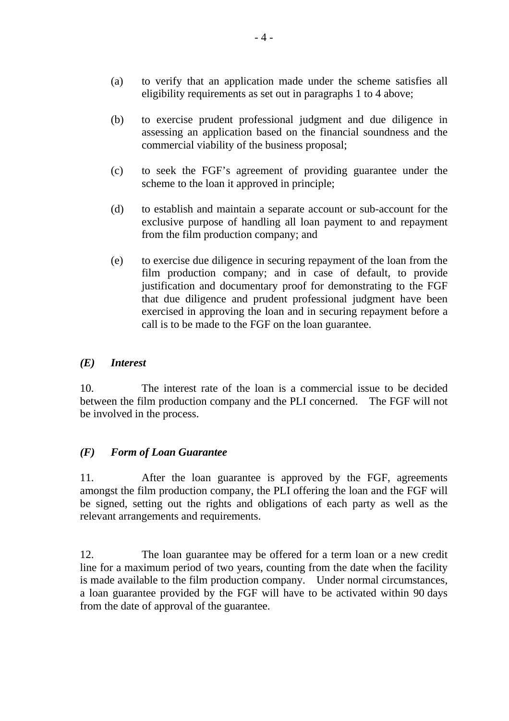- (a) to verify that an application made under the scheme satisfies all eligibility requirements as set out in paragraphs 1 to 4 above;
- (b) to exercise prudent professional judgment and due diligence in assessing an application based on the financial soundness and the commercial viability of the business proposal;
- (c) to seek the FGF's agreement of providing guarantee under the scheme to the loan it approved in principle;
- (d) to establish and maintain a separate account or sub-account for the exclusive purpose of handling all loan payment to and repayment from the film production company; and
- (e) to exercise due diligence in securing repayment of the loan from the film production company; and in case of default, to provide justification and documentary proof for demonstrating to the FGF that due diligence and prudent professional judgment have been exercised in approving the loan and in securing repayment before a call is to be made to the FGF on the loan guarantee.

#### *(E) Interest*

10. The interest rate of the loan is a commercial issue to be decided between the film production company and the PLI concerned. The FGF will not be involved in the process.

### *(F) Form of Loan Guarantee*

11. After the loan guarantee is approved by the FGF, agreements amongst the film production company, the PLI offering the loan and the FGF will be signed, setting out the rights and obligations of each party as well as the relevant arrangements and requirements.

12. The loan guarantee may be offered for a term loan or a new credit line for a maximum period of two years, counting from the date when the facility is made available to the film production company. Under normal circumstances, a loan guarantee provided by the FGF will have to be activated within 90 days from the date of approval of the guarantee.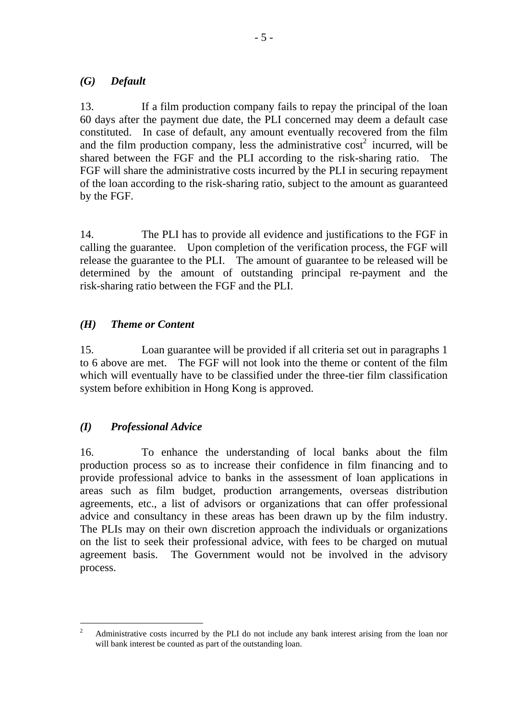#### *(G) Default*

13. If a film production company fails to repay the principal of the loan 60 days after the payment due date, the PLI concerned may deem a default case constituted. In case of default, any amount eventually recovered from the film and the film production company, less the administrative  $\cos t^2$  incurred, will be shared between the FGF and the PLI according to the risk-sharing ratio. FGF will share the administrative costs incurred by the PLI in securing repayment of the loan according to the risk-sharing ratio, subject to the amount as guaranteed by the FGF.

14. The PLI has to provide all evidence and justifications to the FGF in calling the guarantee. Upon completion of the verification process, the FGF will release the guarantee to the PLI. The amount of guarantee to be released will be determined by the amount of outstanding principal re-payment and the risk-sharing ratio between the FGF and the PLI.

### *(H) Theme or Content*

15. Loan guarantee will be provided if all criteria set out in paragraphs 1 to 6 above are met. The FGF will not look into the theme or content of the film which will eventually have to be classified under the three-tier film classification system before exhibition in Hong Kong is approved.

### *(I) Professional Advice*

16. To enhance the understanding of local banks about the film production process so as to increase their confidence in film financing and to provide professional advice to banks in the assessment of loan applications in areas such as film budget, production arrangements, overseas distribution agreements, etc., a list of advisors or organizations that can offer professional advice and consultancy in these areas has been drawn up by the film industry. The PLIs may on their own discretion approach the individuals or organizations on the list to seek their professional advice, with fees to be charged on mutual agreement basis. The Government would not be involved in the advisory process.

 2 Administrative costs incurred by the PLI do not include any bank interest arising from the loan nor will bank interest be counted as part of the outstanding loan.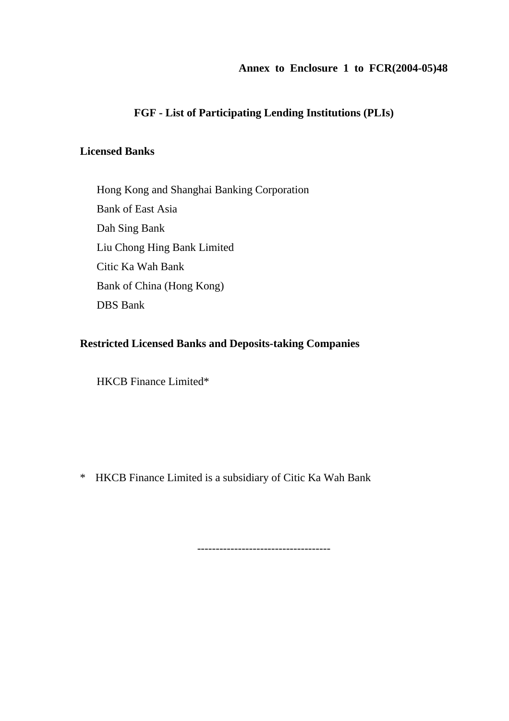#### **Annex to Enclosure 1 to FCR(2004-05)48**

### **FGF - List of Participating Lending Institutions (PLIs)**

#### **Licensed Banks**

Hong Kong and Shanghai Banking Corporation Bank of East Asia Dah Sing Bank Liu Chong Hing Bank Limited Citic Ka Wah Bank Bank of China (Hong Kong) DBS Bank

#### **Restricted Licensed Banks and Deposits-taking Companies**

HKCB Finance Limited\*

\* HKCB Finance Limited is a subsidiary of Citic Ka Wah Bank

------------------------------------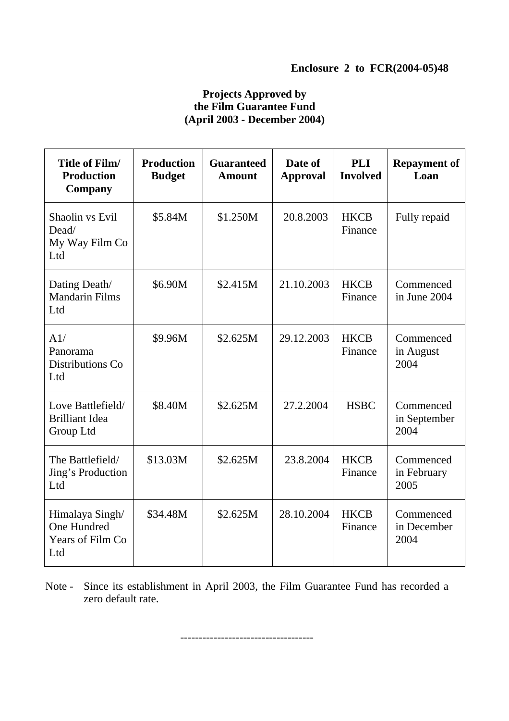### **Projects Approved by the Film Guarantee Fund (April 2003 - December 2004)**

| Title of Film/<br><b>Production</b><br>Company            | <b>Production</b><br><b>Budget</b> | <b>Guaranteed</b><br><b>Amount</b> | Date of<br><b>Approval</b> | <b>PLI</b><br><b>Involved</b> | <b>Repayment of</b><br>Loan       |
|-----------------------------------------------------------|------------------------------------|------------------------------------|----------------------------|-------------------------------|-----------------------------------|
| Shaolin vs Evil<br>Dead/<br>My Way Film Co<br>Ltd         | \$5.84M                            | \$1.250M                           | 20.8.2003                  | <b>HKCB</b><br>Finance        | Fully repaid                      |
| Dating Death/<br><b>Mandarin Films</b><br>Ltd             | \$6.90M                            | \$2.415M                           | 21.10.2003                 | <b>HKCB</b><br>Finance        | Commenced<br>in June 2004         |
| A1/<br>Panorama<br>Distributions Co<br>Ltd                | \$9.96M                            | \$2.625M                           | 29.12.2003                 | <b>HKCB</b><br>Finance        | Commenced<br>in August<br>2004    |
| Love Battlefield/<br><b>Brilliant Idea</b><br>Group Ltd   | \$8.40M                            | \$2.625M                           | 27.2.2004                  | <b>HSBC</b>                   | Commenced<br>in September<br>2004 |
| The Battlefield/<br>Jing's Production<br>Ltd              | \$13.03M                           | \$2.625M                           | 23.8.2004                  | <b>HKCB</b><br>Finance        | Commenced<br>in February<br>2005  |
| Himalaya Singh/<br>One Hundred<br>Years of Film Co<br>Ltd | \$34.48M                           | \$2.625M                           | 28.10.2004                 | <b>HKCB</b><br>Finance        | Commenced<br>in December<br>2004  |

Note - Since its establishment in April 2003, the Film Guarantee Fund has recorded a zero default rate.

------------------------------------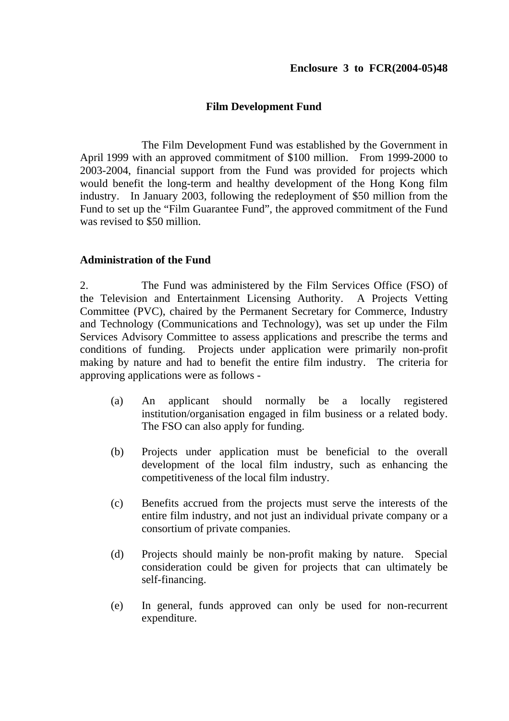#### **Film Development Fund**

 The Film Development Fund was established by the Government in April 1999 with an approved commitment of \$100 million. From 1999-2000 to 2003-2004, financial support from the Fund was provided for projects which would benefit the long-term and healthy development of the Hong Kong film industry. In January 2003, following the redeployment of \$50 million from the Fund to set up the "Film Guarantee Fund", the approved commitment of the Fund was revised to \$50 million.

#### **Administration of the Fund**

2. The Fund was administered by the Film Services Office (FSO) of the Television and Entertainment Licensing Authority. A Projects Vetting Committee (PVC), chaired by the Permanent Secretary for Commerce, Industry and Technology (Communications and Technology), was set up under the Film Services Advisory Committee to assess applications and prescribe the terms and conditions of funding. Projects under application were primarily non-profit making by nature and had to benefit the entire film industry. The criteria for approving applications were as follows -

- (a) An applicant should normally be a locally registered institution/organisation engaged in film business or a related body. The FSO can also apply for funding.
- (b) Projects under application must be beneficial to the overall development of the local film industry, such as enhancing the competitiveness of the local film industry.
- (c) Benefits accrued from the projects must serve the interests of the entire film industry, and not just an individual private company or a consortium of private companies.
- (d) Projects should mainly be non-profit making by nature. Special consideration could be given for projects that can ultimately be self-financing.
- (e) In general, funds approved can only be used for non-recurrent expenditure.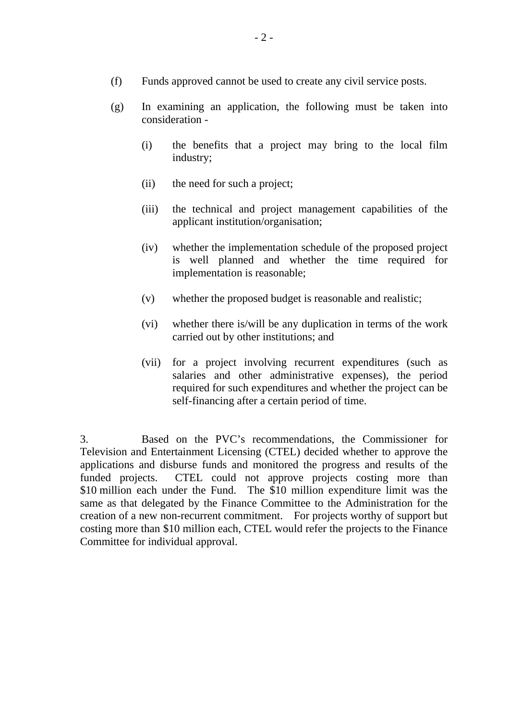- (f) Funds approved cannot be used to create any civil service posts.
- (g) In examining an application, the following must be taken into consideration -
	- (i) the benefits that a project may bring to the local film industry;
	- (ii) the need for such a project;
	- (iii) the technical and project management capabilities of the applicant institution/organisation;
	- (iv) whether the implementation schedule of the proposed project is well planned and whether the time required for implementation is reasonable;
	- (v) whether the proposed budget is reasonable and realistic;
	- (vi) whether there is/will be any duplication in terms of the work carried out by other institutions; and
	- (vii) for a project involving recurrent expenditures (such as salaries and other administrative expenses), the period required for such expenditures and whether the project can be self-financing after a certain period of time.

3. Based on the PVC's recommendations, the Commissioner for Television and Entertainment Licensing (CTEL) decided whether to approve the applications and disburse funds and monitored the progress and results of the funded projects. CTEL could not approve projects costing more than \$10 million each under the Fund. The \$10 million expenditure limit was the same as that delegated by the Finance Committee to the Administration for the creation of a new non-recurrent commitment. For projects worthy of support but costing more than \$10 million each, CTEL would refer the projects to the Finance Committee for individual approval.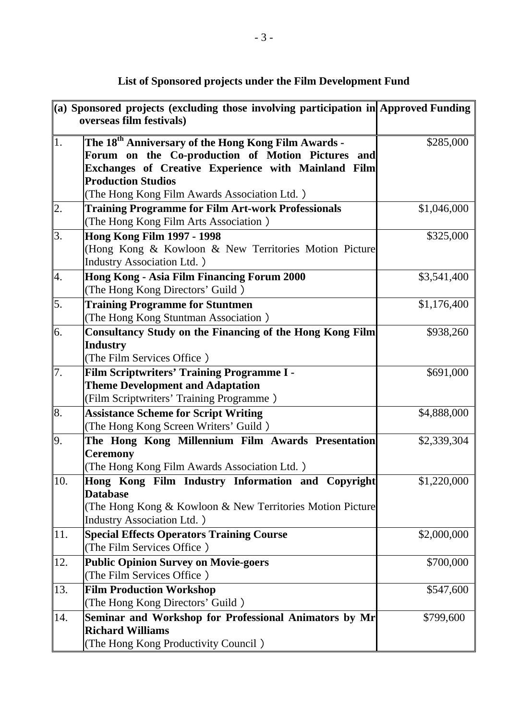|                  | $\ $ (a) Sponsored projects (excluding those involving participation in Approved Funding<br>overseas film festivals)                                                                                                                                     |             |
|------------------|----------------------------------------------------------------------------------------------------------------------------------------------------------------------------------------------------------------------------------------------------------|-------------|
| $\mathbf{1}$ .   | The 18 <sup>th</sup> Anniversary of the Hong Kong Film Awards -<br>Forum on the Co-production of Motion Pictures and<br>Exchanges of Creative Experience with Mainland Film<br><b>Production Studios</b><br>(The Hong Kong Film Awards Association Ltd.) | \$285,000   |
| $\overline{2}$ . | <b>Training Programme for Film Art-work Professionals</b><br>(The Hong Kong Film Arts Association)                                                                                                                                                       | \$1,046,000 |
| $\overline{3}$ . | <b>Hong Kong Film 1997 - 1998</b><br>(Hong Kong & Kowloon & New Territories Motion Picture<br><b>Industry Association Ltd.</b> )                                                                                                                         | \$325,000   |
| 4.               | Hong Kong - Asia Film Financing Forum 2000<br>(The Hong Kong Directors' Guild)                                                                                                                                                                           | \$3,541,400 |
| 5.               | <b>Training Programme for Stuntmen</b><br>(The Hong Kong Stuntman Association)                                                                                                                                                                           | \$1,176,400 |
| 6.               | <b>Consultancy Study on the Financing of the Hong Kong Film</b><br><b>Industry</b><br>(The Film Services Office)                                                                                                                                         | \$938,260   |
| 7.               | Film Scriptwriters' Training Programme I -<br><b>Theme Development and Adaptation</b><br>(Film Scriptwriters' Training Programme)                                                                                                                        | \$691,000   |
| 8.               | <b>Assistance Scheme for Script Writing</b><br>(The Hong Kong Screen Writers' Guild)                                                                                                                                                                     | \$4,888,000 |
| 9.               | The Hong Kong Millennium Film Awards Presentation<br><b>Ceremony</b><br>(The Hong Kong Film Awards Association Ltd.)                                                                                                                                     | \$2,339,304 |
| 10.              | Hong Kong Film Industry Information and<br>Copyright<br><b>Database</b><br>(The Hong Kong & Kowloon & New Territories Motion Picture<br><b>Industry Association Ltd.</b> )                                                                               | \$1,220,000 |
| $ 11$ .          | <b>Special Effects Operators Training Course</b><br>(The Film Services Office)                                                                                                                                                                           | \$2,000,000 |
| 12.              | <b>Public Opinion Survey on Movie-goers</b><br>(The Film Services Office)                                                                                                                                                                                | \$700,000   |
| 13.              | <b>Film Production Workshop</b><br>(The Hong Kong Directors' Guild)                                                                                                                                                                                      | \$547,600   |
| 14.              | Seminar and Workshop for Professional Animators by Mr<br><b>Richard Williams</b><br>(The Hong Kong Productivity Council)                                                                                                                                 | \$799,600   |

## **List of Sponsored projects under the Film Development Fund**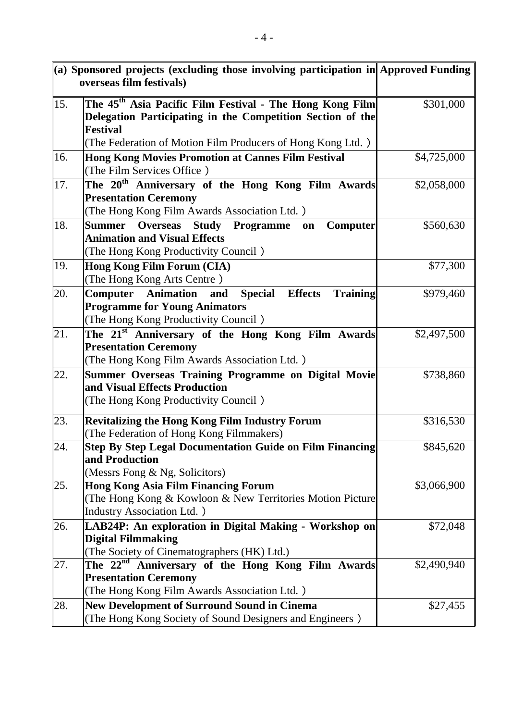| $\ $ (a) Sponsored projects (excluding those involving participation in Approved Funding<br>overseas film festivals) |                                                                                         |             |
|----------------------------------------------------------------------------------------------------------------------|-----------------------------------------------------------------------------------------|-------------|
|                                                                                                                      |                                                                                         |             |
| 15.                                                                                                                  | The 45 <sup>th</sup> Asia Pacific Film Festival - The Hong Kong Film                    | \$301,000   |
|                                                                                                                      | Delegation Participating in the Competition Section of the                              |             |
|                                                                                                                      | <b>Festival</b>                                                                         |             |
|                                                                                                                      | (The Federation of Motion Film Producers of Hong Kong Ltd.)                             |             |
| 16.                                                                                                                  | Hong Kong Movies Promotion at Cannes Film Festival<br>(The Film Services Office)        | \$4,725,000 |
| 17.                                                                                                                  | The 20 <sup>th</sup> Anniversary of the Hong Kong Film Awards                           | \$2,058,000 |
|                                                                                                                      | <b>Presentation Ceremony</b>                                                            |             |
|                                                                                                                      | (The Hong Kong Film Awards Association Ltd.)                                            |             |
| 18.                                                                                                                  | <b>Overseas</b><br><b>Study</b><br><b>Programme</b><br>Summer<br><b>Computer</b><br>on  | \$560,630   |
|                                                                                                                      | <b>Animation and Visual Effects</b>                                                     |             |
|                                                                                                                      | (The Hong Kong Productivity Council)                                                    |             |
| 19.                                                                                                                  | Hong Kong Film Forum (CIA)                                                              | \$77,300    |
|                                                                                                                      | (The Hong Kong Arts Centre)                                                             |             |
| 20.                                                                                                                  | <b>Training</b><br><b>Computer</b> Animation<br><b>Special</b><br><b>Effects</b><br>and | \$979,460   |
|                                                                                                                      | <b>Programme for Young Animators</b>                                                    |             |
|                                                                                                                      | (The Hong Kong Productivity Council)                                                    |             |
| 21.                                                                                                                  | The 21 <sup>st</sup> Anniversary of the Hong Kong Film Awards                           | \$2,497,500 |
|                                                                                                                      | <b>Presentation Ceremony</b>                                                            |             |
|                                                                                                                      | (The Hong Kong Film Awards Association Ltd.)                                            |             |
| 22.                                                                                                                  | <b>Summer Overseas Training Programme on Digital Movie</b>                              | \$738,860   |
|                                                                                                                      | and Visual Effects Production                                                           |             |
|                                                                                                                      | (The Hong Kong Productivity Council)                                                    |             |
| 23.                                                                                                                  | <b>Revitalizing the Hong Kong Film Industry Forum</b>                                   | \$316,530   |
|                                                                                                                      | (The Federation of Hong Kong Filmmakers)                                                |             |
| 24.                                                                                                                  | <b>Step By Step Legal Documentation Guide on Film Financing</b>                         | \$845,620   |
|                                                                                                                      | and Production                                                                          |             |
|                                                                                                                      | (Messrs Fong & Ng, Solicitors)                                                          |             |
| 25.                                                                                                                  | <b>Hong Kong Asia Film Financing Forum</b>                                              | \$3,066,900 |
|                                                                                                                      | (The Hong Kong & Kowloon & New Territories Motion Picture                               |             |
|                                                                                                                      | <b>Industry Association Ltd.</b> )                                                      |             |
| 26.                                                                                                                  | LAB24P: An exploration in Digital Making - Workshop on                                  | \$72,048    |
|                                                                                                                      | <b>Digital Filmmaking</b>                                                               |             |
|                                                                                                                      | (The Society of Cinematographers (HK) Ltd.)                                             |             |
| 27.                                                                                                                  | The 22 <sup>nd</sup> Anniversary of the Hong Kong Film Awards                           | \$2,490,940 |
|                                                                                                                      | <b>Presentation Ceremony</b>                                                            |             |
|                                                                                                                      | (The Hong Kong Film Awards Association Ltd.)                                            |             |
| 28.                                                                                                                  | <b>New Development of Surround Sound in Cinema</b>                                      | \$27,455    |
|                                                                                                                      | (The Hong Kong Society of Sound Designers and Engineers)                                |             |